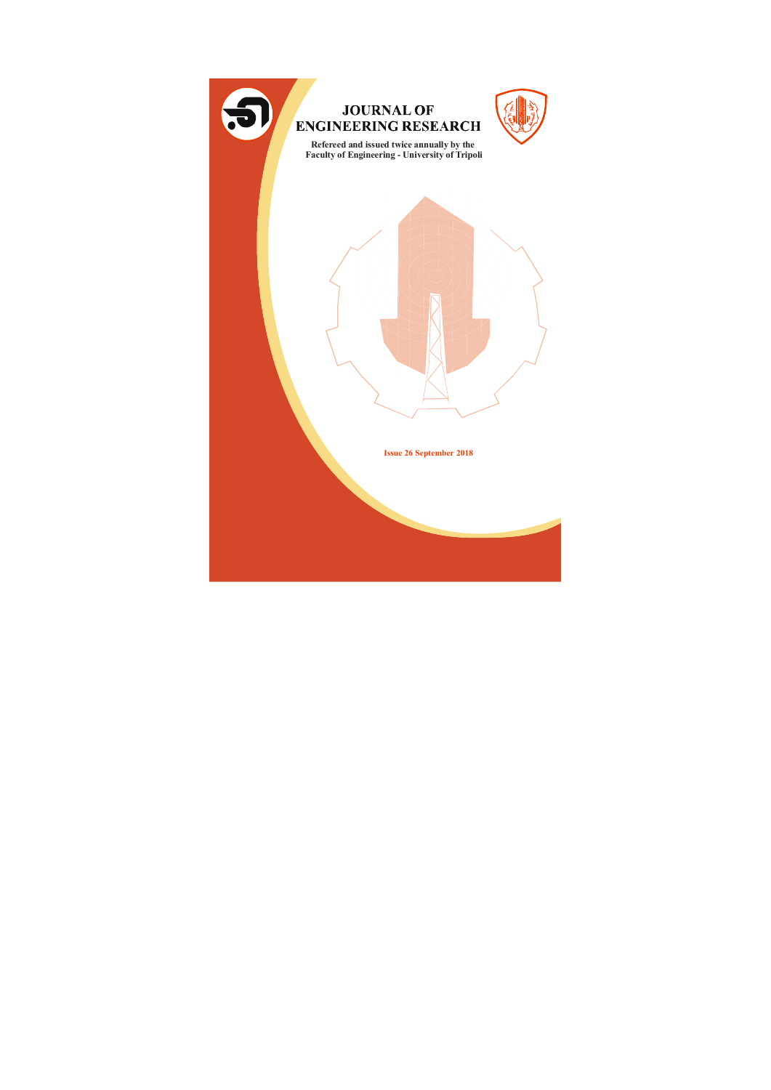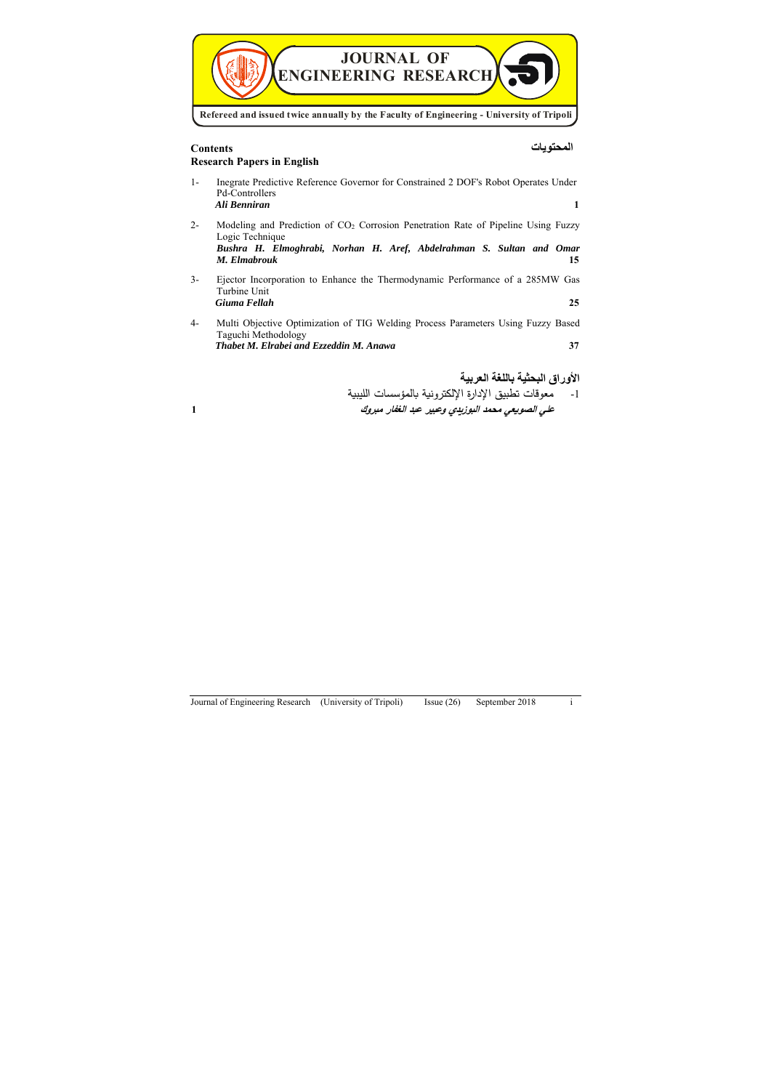

# **المحتویات Contents Research Papers in English**

ا- معوقات تطبیق الإدارة الإلكترونية بالمؤسسات الليبية **علي الصوǻعي محمد البوزȂدȏ وعبیر عبد الغفار مبروك 1**

1- Inegrate Predictive Reference Governor for Constrained 2 DOF's Robot Operates Under Pd-Controllers *Ali Benniran* **1** 2- Modeling and Prediction of CO2 Corrosion Penetration Rate of Pipeline Using Fuzzy Logic Technique *Bushra H. Elmoghrabi, Norhan H. Aref, Abdelrahman S. Sultan and Omar M. Elmabrouk* **15**  3- Ejector Incorporation to Enhance the Thermodynamic Performance of a 285MW Gas Turbine Unit *Giuma Fellah* **25** 4- Multi Objective Optimization of TIG Welding Process Parameters Using Fuzzy Based Taguchi Methodology *Thabet M. Elrabei and Ezzeddin M. Anawa* **37** 

**الأوراق البحثیة باللغة العربیة**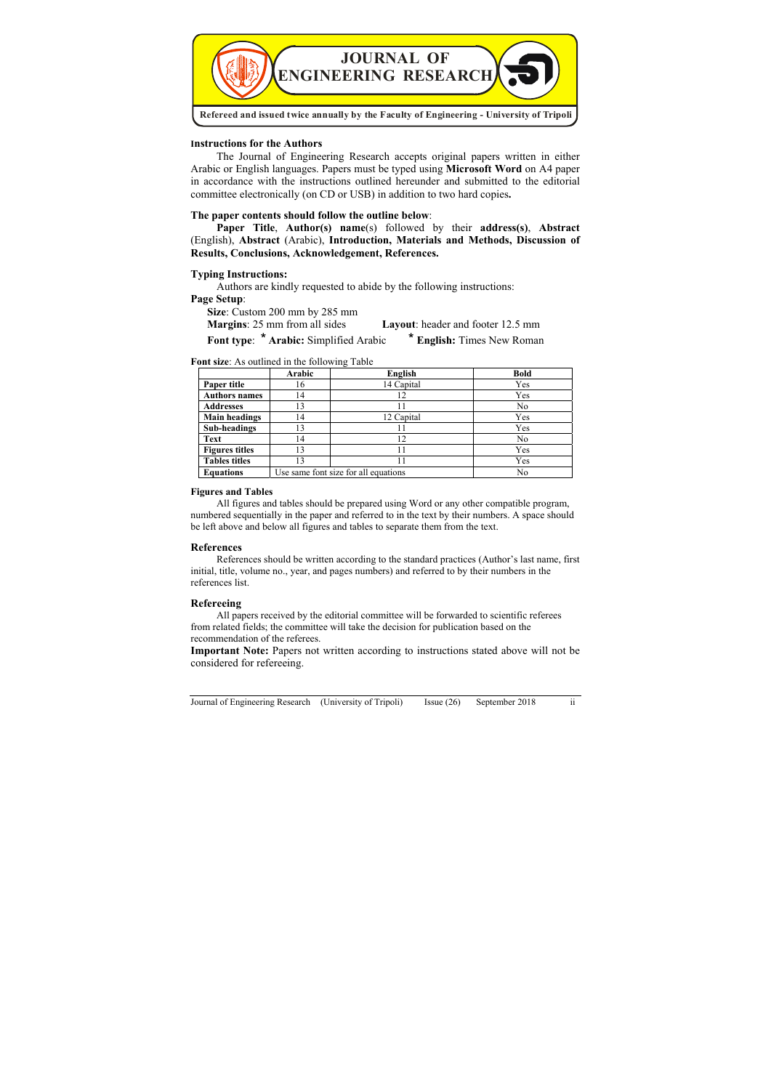

#### **Instructions for the Authors**

The Journal of Engineering Research accepts original papers written in either Arabic or English languages. Papers must be typed using **Microsoft Word** on A4 paper in accordance with the instructions outlined hereunder and submitted to the editorial committee electronically (on CD or USB) in addition to two hard copies**.** 

## **The paper contents should follow the outline below**:

**Paper Title**, **Author(s) name**(s) followed by their **address(s)**, **Abstract** (English), **Abstract** (Arabic), **Introduction, Materials and Methods, Discussion of Results, Conclusions, Acknowledgement, References.**

#### **Typing Instructions:**

Authors are kindly requested to abide by the following instructions:

#### **Page Setup**:

**Size**: Custom 200 mm by 285 mm

**Margins**: 25 mm from all sides **Layout**: header and footer 12.5 mm

Font type: \* Arabic: Simplified Arabic \* **English:** Times New Roman

#### **Font size**: As outlined in the following Table

|                       | Arabic                               | English    | <b>Bold</b>    |
|-----------------------|--------------------------------------|------------|----------------|
| Paper title           | 16                                   | 14 Capital | Yes            |
| <b>Authors names</b>  | 14                                   | 12         | Yes            |
| <b>Addresses</b>      | 13                                   |            | N <sub>0</sub> |
| <b>Main headings</b>  | 14                                   | 12 Capital | Yes            |
| Sub-headings          | 13                                   | 11         | Yes            |
| <b>Text</b>           | 14                                   | 12         | N <sub>0</sub> |
| <b>Figures titles</b> | 13                                   | 11         | Yes            |
| <b>Tables titles</b>  | 13                                   | 11         | Yes            |
| <b>Equations</b>      | Use same font size for all equations |            | N <sub>0</sub> |

#### **Figures and Tables**

All figures and tables should be prepared using Word or any other compatible program, numbered sequentially in the paper and referred to in the text by their numbers. A space should be left above and below all figures and tables to separate them from the text.

## **References**

References should be written according to the standard practices (Author's last name, first initial, title, volume no., year, and pages numbers) and referred to by their numbers in the references list.

## **Refereeing**

All papers received by the editorial committee will be forwarded to scientific referees from related fields; the committee will take the decision for publication based on the recommendation of the referees.

**Important Note:** Papers not written according to instructions stated above will not be considered for refereeing.